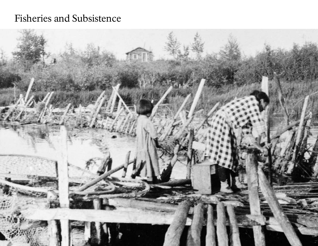# Fisheries and Subsistence

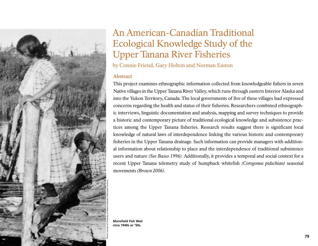

## An American-Canadian Traditional Ecological Knowledge Study of the Upper Tanana River Fisheries

by Connie Friend, Gary Holton and Norman Easton

## **Abstract**

This project examines ethnographic information collected from knowledgeable fishers in seven Native villages in the Upper Tanana River Valley, which runs through eastern Interior Alaska and into the Yukon Territory, Canada. The local governments of five of these villages had expressed concerns regarding the health and status of their fisheries. Researchers combined ethnographic interviews, linguistic documentation and analysis, mapping and survey techniques to provide a historic and contemporary picture of traditional ecological knowledge and subsistence practices among the Upper Tanana fisheries. Research results suggest there is significant local knowledge of natural laws of interdependence linking the various historic and contemporary fisheries in the Upper Tanana drainage. Such information can provide managers with additional information about relationship to place and the interdependence of traditional subsistence users and nature *(See Basso 1996).* Additionally, it provides a temporal and social context for a recent Upper Tanana telemetry study of humpback whitefish *(Coregonus pidschian)* seasonal movements *(Brown 2006).*

**Mansfield Fish Weir circa 1940s or '50s.**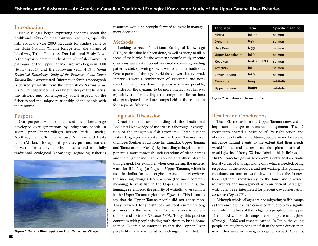## **Introduction**

Native villages began expressing concerns about the health and safety of their subsistence resources, especially fish, about the year 2000. Requests for studies came to the Tetlin National Wildlife Refuge from the villages of Northway, Tetlin, Tanacross, Dot Lake and Healy Lake. A three-year telemetry study of the whitefish *(Coregonus pidschian)* of the Upper Tanana River was begun in 2000 *(Brown 2006),* and the following year, *A Traditional Ecological Knowledge Study of the Fisheries of the Upper Tanana River* was initiated. Information for this monograph is derived primarily from the latter study *(Friend et al. 2007).*This paper focuses on a brief history of the fisheries, the historic and contemporary social aspects of the fisheries and the unique relationship of the people with the resource.

## **Purpose**

Our purpose was to document local knowledge developed over generations by indigenous people in seven Upper Tanana villages: Beaver Creek (Canada), Northway, Tetlin, Tok, Tanacross, Dot Lake and Healy Lake (Alaska). Through this process, past and current harvest information, adaptive patterns and especially traditional ecological knowledge regarding fisheries



resources would be brought forward to assist in management decisions.

## **Methods**

Looking to recent Traditional Ecological Knowledge (TEK) studies that had been done, as well as trying to fill in some of the blanks for the western scientific study, specific questions were asked about seasonal movement, feeding patterns, diet, spawning sites as well as cultural traditions. Over a period of three years, 42 fishers were interviewed. Interviews were a combination of structured and nonstructured inquiries done in groups whenever possible, in order for the dynamic to be more interactive. This was especially true for the linguistic component. Researchers also participated in culture camps held at fish camps in four separate fisheries.

## **Linguistic Discussion**

Crucial to the understanding of the Traditional Ecological Knowledge of fisheries is a thorough investigation of the indigenous fish taxonomy. Three distinct Native languages are spoken in the Upper Tanana River drainage: Southern Tutchone (in Canada), Upper Tanana and Tanacross (in Alaska). By including a linguistic component, a more thorough understanding of place names and their significance can be applied and other information gleaned. For example, when considering the generic word for fish, *luug* (or *luugn* in Upper Tanana), which is used in similar forms throughout Alaska and elsewhere, the meaning changes from salmon (the most common meaning) to whitefish in the Upper Tanana. Thus, the language re-enforces the priority of whitefish over salmon in the Upper Tanana region *(see Figure 1).* This is not to say that the Upper Tanana people did not eat salmon. They traveled long distances on foot (summer-long journeys) to the Yukon and Copper rivers to obtain salmon and to trade *(Guédon 1974).* Today, this practice continues with people visiting both rivers to bring home salmon. Elders also informed us that the Copper River people like to have whitefish for a change in their diet.

| Language               | Term           | <b>Specific meaning</b> |
|------------------------|----------------|-------------------------|
| Ahtna                  | tuk'ae         | salmon                  |
| Dena'ina               | tiq'a          | salmon                  |
| Deg Xinag              | tegg           | salmon                  |
| <b>Upper Kuskokwim</b> | łuk'a          | salmon                  |
| Koyukon                | took'e (tuk'E) | salmon                  |
| Gwich'in               | łuk            | salmon                  |
| Lower Tanana           | tuk'a          | salmon                  |
| <b>Tanacross</b>       | tuug           | whitefish               |
| <b>Upper Tanana</b>    | tuugn          | whitefish               |

**Figure 2. Athabascan Terms for 'Fish'.**

## **Results and Conclusions**

The TEK research in the Upper Tanana conveyed an important message to resource management. The 42 consultants shared a basic belief: by right action and observance of cultural traditions, people would be able to influence natural events to the extent that their needs would be met and the resource—fish, plant or animal would give itself freely. We have labeled this belief system, *'An Elemental Reciprocal Agreement'.* Central to it are traditional values of sharing, taking only what is needed, being respectful of the resource, and not wasting. This paradigm constitutes an ancient worldview that links the hunterfisher-gatherer inextricably to the land and provides researchers and management with an ancient paradigm, which can be re-interpreted for present day conservation concerns *(Cajete 2000).*

Although whole villages are not migrating to fish camps as they once did, the fish camps continue to play a significant role in the lives of the indigenous people of the Upper Tanana today. The fish camps are still a place of laughter *(Kawagley 2006)* and respect learned. In Tetlin, the young people are taught to hang the fish in the same direction in **Figure 1. Tanana River upstream from Tanacross Village.** people like to have whitefish for a change in their diet. Which they were swimming as a sign of respect. At camp,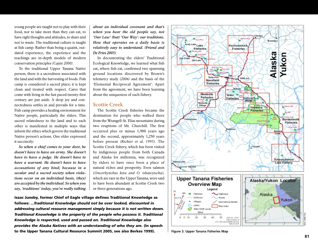young people are taught not to play with their food, nor to take more than they can eat, to have right thoughts and attitudes, to share and not to waste. The traditional culture is taught at fish camp. Rather than being a quaint, outdated experience, the experience and the teachings are in-depth models of modern conservation principles *(Cajete 2000).*

To the traditional Upper Tanana Native person, there is a sacredness associated with the land and with the harvesting of foods. Fish camp is considered a sacred place; it is kept clean and treated with respect. Cares that come with living in the fast paced twenty-first century are put aside. A deep joy and connectedness settles in and prevails for a time. Fish camp provides a healing environment for Native people, particularly the elders. This sacred relatedness to the land and to each other is manifested in multiple ways that inform the ethics which govern the traditional Native person's actions. One elder expressed it succinctly:

*So when a chief comes to your door, he doesn't have to have an army. She doesn't have to have a judge. He doesn't have to have a warrant. He doesn't have to have accusations of any kind; because in a secular and a sacred society when violations occur on an individual basis, (they) are accepted by the individual. So when you say, 'traditions' today, you're really talking*

*about an individual covenant and that's when you hear the old people say, not 'Our Law' (but) 'Our Way': our traditions. How that operates on a daily basis is relatively easy to understand. (Friend and De Fries 2005)*

In documenting the elders' Traditional Ecological Knowledge, we learned what fish eat, where fish eat, confirmed two spawning ground locations discovered by Brown's telemetry study *(2006)* and the basis of the 'Elemental Reciprocal Agreement'. Apart from the agreement, we have been learning about the uniqueness of each fishery.

#### **Scottie Creek**

The Scottie Creek fisheries became the destination for people who walked there from the Wrangell-St. Elias mountains during two eruptions of Mt. Churchill. The first occurred plus or minus 1,900 years ago and the second, approximately 1,250 years before present *(Richter et al. 1995).* The Scottie Creek fishery, which has been visited by indigenous people from both Canada and Alaska for millennia, was recognized by elders to have once been a place of natural riches and prosperity. Even salmon (*Oncorhynchus keta and O. tshawytscha),* which are rare in the Upper Tanana, were said to have been abundant at Scottie Creek two or three generations ago.

**Isaac Juneby, former Chief of Eagle village defines Traditional Knowledge as follows:** *...Traditional Knowledge should not be over looked, discounted in addressing cultural resource management simply because it is not written down. Traditional Knowledge is the property of the people who possess it. Traditional Knowledge is respected, used and passed on. Traditional Knowledge also provides the Alaska Natives with an understanding of who they are.* **(In speech to the Upper Tanana Cultural Resource Summit 2005, see also Berkes 1999).**





40

50

NAD 83, LITW1 Data courtesy of U.S. Fish and Width Service Tellin N.W.F

20  $-30$ 

6  $-10$  Tetlin NWR files